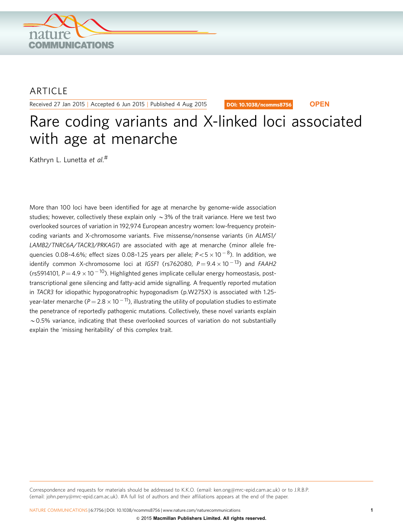

# ARTICLE

Received 27 Jan 2015 | Accepted 6 Jun 2015 | Published 4 Aug 2015

DOI: 10.1038/ncomms8756 **OPEN**

# Rare coding variants and X-linked loci associated with age at menarche

Kathryn L. Lunetta *et al*.#

More than 100 loci have been identified for age at menarche by genome-wide association studies; however, collectively these explain only  $\sim$  3% of the trait variance. Here we test two overlooked sources of variation in 192,974 European ancestry women: low-frequency proteincoding variants and X-chromosome variants. Five missense/nonsense variants (in ALMS1/ LAMB2/TNRC6A/TACR3/PRKAG1) are associated with age at menarche (minor allele frequencies 0.08-4.6%; effect sizes 0.08-1.25 years per allele;  $P\!<\!5\times10^{-8}$ ). In addition, we identify common X-chromosome loci at IGSF1 (rs762080,  $P\!=\!9.4\!\times\!10^{\,-13}$ ) and FAAH2 (rs5914101,  $P = 4.9 \times 10^{-10}$ ). Highlighted genes implicate cellular energy homeostasis, posttranscriptional gene silencing and fatty-acid amide signalling. A frequently reported mutation in TACR3 for idiopathic hypogonatrophic hypogonadism (p.W275X) is associated with 1.25 year-later menarche (P $=$  2.8  $\times$  10  $^{-11}$ ), illustrating the utility of population studies to estimate the penetrance of reportedly pathogenic mutations. Collectively, these novel variants explain  $\sim$  0.5% variance, indicating that these overlooked sources of variation do not substantially explain the 'missing heritability' of this complex trait.

Correspondence and requests for materials should be addressed to K.K.O. (email: [ken.ong@mrc-epid.cam.ac.uk\)](mailto:ken.ong@mrc-epid.cam.ac.uk) or to J.R.B.P. (email: [john.perry@mrc-epid.cam.ac.uk\)](mailto:john.perry@mrc-epid.cam.ac.uk). #A full list of authors and their affiliations appears at the end of the paper.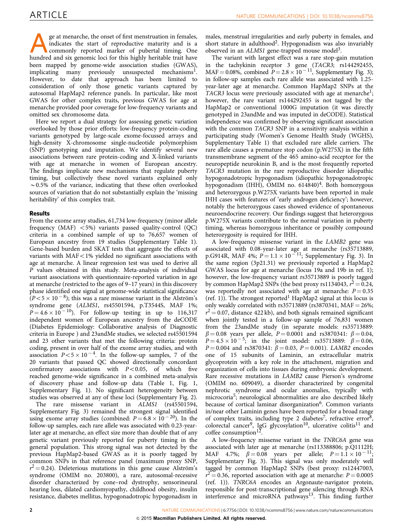ge at menarche, the onset of first menstruation in females,<br>indicates the start of reproductive maturity and is a<br>commonly reported marker of pubertal timing. One<br>bunded and six genomic loci for this bigbly heritable trait indicates the start of reproductive maturity and is a hundred and six genomic loci for this highly heritable trait have been mapped by genome-wide association studies (GWAS), implicating many previously unsuspected mechanisms<sup>1</sup>. However, to date that approach has been limited to consideration of only those genetic variants captured by autosomal HapMap2 reference panels. In particular, like most GWAS for other complex traits, previous GWAS for age at menarche provided poor coverage for low-frequency variants and omitted sex chromosome data.

Here we report a dual strategy for assessing genetic variation overlooked by those prior efforts: low-frequency protein-coding variants genotyped by large-scale exome-focussed arrays and high-density X-chromosome single-nucleotide polymorphism (SNP) genotyping and imputation. We identify several new associations between rare protein-coding and X-linked variants with age at menarche in women of European ancestry. The findings implicate new mechanisms that regulate puberty timing, but collectively these novel variants explained only  $\sim$  0.5% of the variance, indicating that these often overlooked sources of variation that do not substantially explain the 'missing heritability' of this complex trait.

#### Results

From the exome array studies, 61,734 low-frequency (minor allele frequency (MAF)  $\langle$  5%) variants passed quality-control (QC) criteria in a combined sample of up to 76,657 women of European ancestry from 19 studies (Supplementary Table 1). Gene-based burden and SKAT tests that aggregate the effects of variants with  $MAF < 1\%$  yielded no significant associations with age at menarche. A linear regression test was used to derive all P values obtained in this study. Meta-analysis of individual variant associations with questionnaire-reported variation in age at menarche (restricted to the ages of 9–17 years) in this discovery phase identified one signal at genome-wide statistical significance  $(P<5\times 10^{-8})$ ; this was a rare missense variant in the Alström's syndrome gene (ALMS1, rs45501594, p.T3544S, MAF 1%;  $P = 4.6 \times 10^{-10}$ ). For follow-up testing in up to 116,317 independent women of European ancestry from the deCODE (Diabetes Epidemiology: Collaborative analysis of Diagnostic criteria in Europe ) and 23andMe studies, we selected rs45501594 and 23 other variants that met the following criteria: protein coding, present in over half of the exome array studies, and with association  $P < 5 \times 10^{-4}$ . In the follow-up samples, 7 of the 20 variants that passed QC showed directionally concordant confirmatory associations with  $P < 0.05$ , of which five reached genome-wide significance in a combined meta-analysis of discovery phase and follow-up data ([Table 1, Fig. 1,](#page-2-0) Supplementary Fig. 1). No significant heterogeneity between studies was observed at any of these loci (Supplementary Fig. 2).

The rare missense variant in ALMS1 (rs45501594, Supplementary Fig. 3) remained the strongest signal identified using exome array studies (combined:  $P = 6.8 \times 10^{-20}$ ). In the follow-up samples, each rare allele was associated with 0.23-yearlater age at menarche, an effect size more than double that of any genetic variant previously reported for puberty timing in the general population. This strong signal was not detected by the previous HapMap2-based GWAS as it is poorly tagged by common SNPs in that reference panel (maximum proxy SNP,  $r^2$  = 0.24). Deleterious mutations in this gene cause Alström's syndrome (OMIM no. 203800), a rare, autosomal-recessive disorder characterized by cone–rod dystrophy, sensorineural hearing loss, dilated cardiomyopathy, childhood obesity, insulin resistance, diabetes mellitus, hypogonadotropic hypogonadism in

males, menstrual irregularities and early puberty in females, and short stature in adulthood<sup>2</sup>. Hypogonadism was also invariably observed in an ALMS1 gene-trapped mouse model<sup>[3](#page-3-0)</sup>.

The variant with largest effect was a rare stop-gain mutation in the tachykinin receptor 3 gene (TACR3; rs144292455,  $MAF = 0.08\%$ , combined  $P = 2.8 \times 10^{-11}$ , Supplementary Fig. 3); in follow-up samples each rare allele was associated with 1.25 year-later age at menarche. Common HapMap2 SNPs at the TACR3 locus were previously associated with age at menarche<sup>1</sup>; however, the rare variant rs144292455 is not tagged by the HapMap2 or conventional 1000G imputation (it was directly genotyped in 23andMe and was imputed in deCODE). Statistical independence was confirmed by observing significant association with the common TACR3 SNP in a sensitivity analysis within a participating study (Women's Genome Health Study (WGHS), Supplementary Table 1) that excluded rare allele carriers. The rare allele causes a premature stop codon (p.W275X) in the fifth transmembrane segment of the 465 amino-acid receptor for the neuropeptide neurokinin B, and is the most frequently reported TACR3 mutation in the rare reproductive disorder idiopathic hypogonadotropic hypogonadism (idiopathic hypogonadotropic hypogonadism (IHH), OMIM no.  $614840)^4$  $614840)^4$  $614840)^4$ . Both homozygous and heterozygous p.W275X variants have been reported in male IHH cases with features of 'early androgen deficiency'; however, notably the heterozygous cases showed evidence of spontaneous neuroendocrine recovery. Our findings suggest that heterozygous p.W275X variants contribute to the normal variation in puberty timing, whereas homozygous inheritance or possibly compound heterozygosity is required for IHH.

A low-frequency missense variant in the LAMB2 gene was associated with 0.08-year-later age at menarche (rs35713889, p.G914R, MAF 4%;  $P = 1.1 \times 10^{-11}$ ; Supplementary Fig. 3). In the same region (3p21.31) we previously reported a HapMap2 GWAS locus for age at menarche (locus 19a and 19b in [ref. 1](#page-3-0)); however, the low-frequency variant rs35713889 is poorly tagged by common HapMap2 SNPs (the best proxy rs1134043,  $r^2 = 0.24$ , was reportedly not associated with age at menarche:  $P = 0.35$ ([ref. 1](#page-3-0))). The strongest reported<sup>[1](#page-3-0)</sup> HapMap2 signal at this locus is only weakly correlated with rs35713889 (rs3870341,  $MAF = 26\%;$  $r^2 = 0.07$ , distance 422 kb), and both signals remained significant when jointly tested in a follow-up sample of 76,831 women from the 23andMe study (in separate models: rs35713889:  $\beta = 0.08$  years per allele,  $P = 0.0001$  and rs3870341:  $\beta = 0.04$ ,  $P = 4.5 \times 10^{-5}$ ; in the joint model: rs35713889:  $\beta = 0.06$ ,  $P = 0.004$  and rs3870341:  $\beta = 0.03$ ,  $P = 0.001$ ). LAMB2 encodes one of 15 subunits of Laminin, an extracellular matrix glycoprotein with a key role in the attachment, migration and organization of cells into tissues during embryonic development. Rare recessive mutations in LAMB2 cause Pierson's syndrome (OMIM no. 609049), a disorder characterized by congenital nephrotic syndrome and ocular anomalies, typically with microcoria<sup>[5](#page-3-0)</sup>; neurological abnormalities are also described likely because of cortical laminar disorganization<sup>[6](#page-3-0)</sup>. Common variants in/near other Laminin genes have been reported for a broad range of complex traits, including type 2 diabetes<sup>7</sup>, refractive error<sup>8</sup>, colorectal cancer<sup>9</sup>, IgG glycosylation<sup>[10](#page-3-0)</sup>, ulcerative colitis<sup>11</sup> and coffee consumption<sup>[12](#page-3-0)</sup>.

A low-frequency missense variant in the TNRC6A gene was associated with later age at menarche (rs113388806; p.Q1112H; MAF 4.7%;  $\beta = 0.08$  years per allele;  $P = 1.1 \times 10^{-11}$ ; Supplementary Fig. 3). This signal was only moderately well tagged by common HapMap2 SNPs (best proxy: rs12447003,  $r^2 = 0.36$ , reported association with age at menarche:  $P = 0.0005$ ([ref. 1\)](#page-3-0)). TNRC6A encodes an Argonaute-navigator protein, responsible for post-transcriptional gene silencing through RNA interference and microRNA pathways<sup>[13](#page-3-0)</sup>. This finding further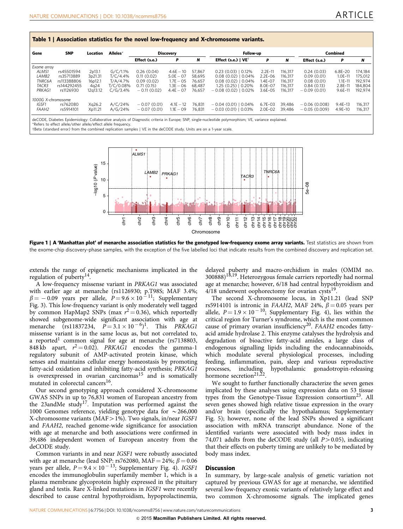<span id="page-2-0"></span>

| Gene               | <b>SNP</b>  | Location          | Alleles*  | Discovery     |             |        | Follow-up                      |             |         | Combined       |             |         |
|--------------------|-------------|-------------------|-----------|---------------|-------------|--------|--------------------------------|-------------|---------|----------------|-------------|---------|
|                    |             |                   |           | Effect (s.e.) | P           | N      | Effect (s.e.)   $VE^{\dagger}$ | P           | N       | Effect (s.e.)  | P           | N       |
| Exome array        |             |                   |           |               |             |        |                                |             |         |                |             |         |
| ALMS1              | rs45501594  | 2p13.1            | G/C/1.1%  | 0.26(0.04)    | $4.6E - 10$ | 57.867 | $0.23(0.03)$   0.12%           | $2.2E-11$   | 116.317 | 0.24(0.03)     | 6.8E-20     | 174.184 |
| LAMB <sub>2</sub>  | rs35713889  | 3p21.31           | T/C/4.4%  | 0.11(0.02)    | $5.0E - 07$ | 58,695 | $0.08(0.02)$   0.04%           | $2.2E - 06$ | 116,317 | 0.09(0.01)     | $1.0E-11$   | 175,012 |
| TNRC6A             | rs113388806 | 16p12.1           | T/A/4.7%  | 0.09(0.02)    | $1.7E - 05$ | 76.657 | $0.08(0.02)$   0.04%           | 1.4E-07     | 116.317 | 0.08(0.01)     | $1.1E - 11$ | 192,974 |
| TACR3              | rs144292455 | 4 <sub>g</sub> 24 | T/C/0.08% | 0.71(0.15)    | $1.3E - 06$ | 68.487 | $1.25(0.25)$   0.20%           | 8.0E-07     | 116.317 | 0.84(0.13)     | $2.8E-11$   | 184.804 |
| PRKAG1             | rs1126930   | 12a13.12          | C/G/3.4%  | $-0.11(0.02)$ | $4.4E - 07$ | 76.657 | $-0.08(0.02)$   0.02%          | $3.6E - 05$ | 116.317 | $-0.09(0.01)$  | $9.6E-11$   | 192.974 |
| 1000G X-chromosome |             |                   |           |               |             |        |                                |             |         |                |             |         |
| IGSF1              | rs762080    | Xg26.2            | A/C/24%   | $-0.07(0.01)$ | $4.1E - 12$ | 76.831 | $-0.04(0.01)$   0.04%          | $6.7E-03$   | 39.486  | $-0.06(0.008)$ | $9.4E-13$   | 116.317 |
| <b>FAAH2</b>       | rs5914101   | Xp11.21           | A/G/24%   | $-0.07(0.01)$ | $1.1E - 09$ | 76.831 | $-0.03(0.01)$   0.03%          | $2.0E-02$   | 39.486  | $-0.05(0.009)$ | 4.9E-10     | 116,317 |

wBeta (standard error) from the combined replication samples | VE in the deCODE study. Units are on a 1-year scale.



Figure 1 | A 'Manhattan plot' of menarche association statistics for the genotyped low-frequency exome array variants. Test statistics are shown from the exome-chip discovery-phase samples, with the exception of the five labelled loci that indicate results from the combined discovery and replication set.

extends the range of epigenetic mechanisms implicated in the regulation of puberty<sup>[14](#page-3-0)</sup>.

A low-frequency missense variant in PRKAG1 was associated with earlier age at menarche (rs1126930; p.T98S; MAF 3.4%;  $\beta = -0.09$  years per allele,  $P = 9.6 \times 10^{-11}$ ; Supplementary Fig. 3). This low-frequency variant is only moderately well tagged by common HapMap2 SNPs (max  $r^2 = 0.36$ ), which reportedly showed subgenome-wide significant association with age at menarche (rs11837234,  $\overline{P} = 3.1 \times 10^{-6}$ )<sup>1</sup>. This *PRKAG1* missense variant is in the same locus as, but not correlated to, a reported<sup>[1](#page-3-0)</sup> common signal for age at menarche ( $rs7138803$ , 848 kb apart,  $r^2 = 0.02$ ). *PRKAG1* encodes the gamma-1 regulatory subunit of AMP-activated protein kinase, which senses and maintains cellular energy homeostasis by promoting fatty-acid oxidation and inhibiting fatty-acid synthesis; PRKAG1 is overexpressed in ovarian carcinomas<sup>15</sup> and is somatically mutated in colorectal cancers<sup>16</sup>.

Our second genotyping approach considered X-chromosome GWAS SNPs in up to 76,831 women of European ancestry from the 23andMe study<sup>17</sup>. Imputation was performed against the 1000 Genomes reference, yielding genotype data for  $\sim$  266,000 X-chromosome variants (MAF $>$ 1%). Two signals, in/near IGSF1 and FAAH2, reached genome-wide significance for association with age at menarche and both associations were confirmed in 39,486 independent women of European ancestry from the deCODE study.

Common variants in and near IGSF1 were robustly associated with age at menarche (lead SNP: rs762080, MAF = 24%;  $\beta$  = 0.06 years per allele,  $P = 9.4 \times 10^{-13}$ ; Supplementary Fig. 4). IGSF1 encodes the immunoglobulin superfamily member 1, which is a plasma membrane glycoprotein highly expressed in the pituitary gland and testis. Rare X-linked mutations in IGSF1 were recently described to cause central hypothyroidism, hypoprolactinemia,

delayed puberty and macro-orchidism in males (OMIM no. 300888[\)18,19](#page-3-0). Heterozygous female carriers reportedly had normal age at menarche; however, 6/18 had central hypothyroidism and 4/18 underwent oophorectomy for ovarian cysts<sup>[19](#page-3-0)</sup>.

The second X-chromosome locus, in Xp11.21 (lead SNP rs5914101 is intronic in FAAH2, MAF 24%,  $\beta = 0.05$  years per allele,  $P = 1.9 \times 10^{-10}$ ; Supplementary Fig. 4), lies within the critical region for Turner's syndrome, which is the most common cause of primary ovarian insufficiency<sup>20</sup>. FAAH2 encodes fattyacid amide hydrolase 2. This enzyme catalyses the hydrolysis and degradation of bioactive fatty-acid amides, a large class of endogenous signalling lipids including the endocannabinoids, which modulate several physiological processes, including feeding, inflammation, pain, sleep and various reproductive hypothalamic gonadotropin-releasing processes, including<br>hormone secretion<sup>21,22</sup>.

We sought to further functionally characterize the seven genes implicated by these analyses using expression data on 53 tissue types from the Genotype-Tissue Expression consortium<sup>23</sup>. All seven genes showed high relative tissue expression in the ovary and/or brain (specifically the hypothalamus; Supplementary Fig. 5); however, none of the lead SNPs showed a significant association with mRNA transcript abundance. None of the identified variants were associated with body mass index in 74,071 adults from the deCODE study (all  $P > 0.05$ ), indicating that their effects on puberty timing are unlikely to be mediated by body mass index.

#### **Discussion**

In summary, by large-scale analysis of genetic variation not captured by previous GWAS for age at menarche, we identified several low-frequency exonic variants of relatively large effect and two common X-chromosome signals. The implicated genes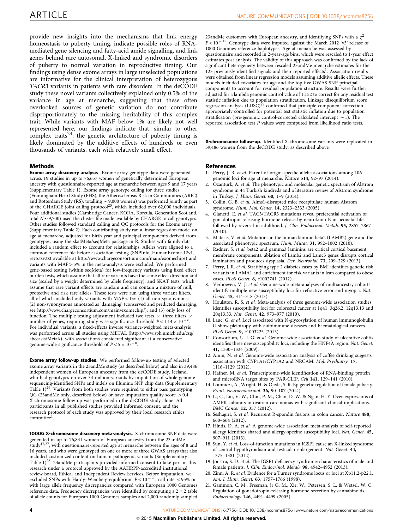<span id="page-3-0"></span>provide new insights into the mechanisms that link energy homeostasis to puberty timing, indicate possible roles of RNAmediated gene silencing and fatty-acid amide signalling, and link genes behind rare autosomal, X-linked and syndromic disorders of puberty to normal variation in reproductive timing. Our findings using dense exome arrays in large unselected populations are informative for the clinical interpretation of heterozygous TACR3 variants in patients with rare disorders. In the deCODE study these novel variants collectively explained only 0.5% of the variance in age at menarche, suggesting that these often overlooked sources of genetic variation do not contribute disproportionately to the missing heritability of this complex trait. While variants with MAF below 1% are likely not well represented here, our findings indicate that, similar to other complex traits<sup>24</sup>, the genetic architecture of puberty timing is likely dominated by the additive effects of hundreds or even thousands of variants, each with relatively small effect.

#### Methods

**Exome array discovery analysis.** Exome array genotype data were generated across 19 studies in up to 76,657 women of genetically determined European ancestry with questionnaire-reported age at menarche between ages 9 and 17 years (Supplementary Table 1). Exome array genotype calling for three studies (Framingham Heart Study (FHS), the Atherosclerosis Risk in Communities (ARIC) and Rotterdam Study (RS); totalling ~9,000 women) was performed jointly as part<br>of the CHARGE joint calling protocol<sup>[25](#page-4-0)</sup>, which included over 62,000 individuals. Four additional studies (Cambridge Cancer, KORA, Korcula, Generation Scotland, total  $N \sim 9,700$ ) used the cluster file made available by CHARGE to call genotypes. Other studies followed standard calling and QC protocols for the Exome array (Supplementary Table 2). Each contributing study ran a linear regression model on age at menarche, adjusted for birth year and principal components derived from genotypes, using the skatMeta/seqMeta package in R. Studies with family data included a random effect to account for relationships. Alleles were aligned to a common reference file before association testing (SNPInfo\_HumanExome-12v1\_ rev5.tsv.txt available at<http://www.chargeconsortium.com/main/exomechip/>) and variants with MAF > 5% in the meta-analysis were excluded. We performed gene-based testing (within seqMeta) for low-frequency variants using fixed effect burden tests, which assume that all rare variants have the same effect direction and size (scaled by a weight determined by allele frequency), and SKAT tests, which assume that rare variant effects are random and can contain a mixture of null, protective and risk rare alleles. These tests were run using three variant filters, all of which included only variants with  $MAF < 1\%$ : (1) all non-synonymous; (2) non-synonymous annotated as 'damaging' (conserved and predicted damaging, see<http://www.chargeconsortium.com/main/exomechip/>); and (3) only loss of function. The multiple testing adjustment included two tests  $\,\times\,$  three filters  $\,\times\,$ number of genes, requiring study-wise significance threshold  $P < 1.14 \times 10^{-6}$ . For individual variants, a fixed-effects inverse variance-weighted meta-analysis was performed across all studies using METAL ([http://www.sph.umich.edu/csg/](http://www.sph.umich.edu/csg/abecasis/Metal/) [abecasis/Metal/](http://www.sph.umich.edu/csg/abecasis/Metal/)), with associations considered significant at a conservative genome-wide significance threshold of  $P < 5 \times 10^{-8}$ .

Exome array follow-up studies. We performed follow-up testing of selected exome array variants in the 23andMe study (as described below) and also in 39,486 independent women of European ancestry from the deCODE study, Iceland, who had genotypes on over 34 million variants by imputation of whole-genome sequencing-identified SNPs and indels on Illumina SNP chip data (Supplementary Table  $1$ <sup>26</sup>. Variants from both studies were required to either pass genotyping QC (23andMe only, described below) or have imputation quality score  $> 0.4$ . X-chromosome follow-up was performed in the deCODE study alone. All participants in all published studies provided informed consent, and the research protocol of each study was approved by their local research ethics committee1.

1000G X-chromosome discovery meta-analysis. X-chromosome SNP data were generated in up to 76,831 women of European ancestry from the 23andMe study17,27, with questionnaire-reported age at menarche between the ages of 8 and 16 years, and who were genotyped on one or more of three GWAS arrays that also included customized content on human pathogenic variants (Supplementary Table 1)<sup>28</sup>. 23andMe participants provided informed consent to take part in this research under a protocol approved by the AAHRPP-accredited institutional review board, Ethical and Independent Review Services. Before imputation, we excluded SNPs with Hardy–Weinberg equilibrium  $P<10^{-20}$ , call rate <95% or with large allele frequency discrepancies compared with European 1000 Genomes reference data. Frequency discrepancies were identified by computing a 2  $\times$  2 table of allele counts for European 1000 Genomes samples and 2,000 randomly sampled

23andMe customers with European ancestry, and identifying SNPs with a  $\gamma^2$  $P<10$ <sup>-15</sup>. Genotype data were imputed against the March 2012 'v3' release of 1000 Genomes reference haplotypes. Age at menarche was assessed by questionnaire and recorded in 2-year-age bins, which were rescaled to 1-year effect estimates post analysis. The validity of this approach was confirmed by the lack of significant heterogeneity between rescaled 23andMe menarche estimates for the 123 previously identified signals and their reported effects<sup>1</sup>. Association results were obtained from linear regression models assuming additive allelic effects. These models included covariates for age and the top five GWAS SNP principal components to account for residual population structure. Results were further adjusted for a lambda genomic control value of 1.152 to correct for any residual test statistic inflation due to population stratification. Linkage disequilibrium score<br>regression analysis (LDSC)<sup>[29](#page-4-0)</sup> confirmed that principle component correction appropriately controlled for potential test statistic inflation due to population stratification (pre-genomic control-corrected calculated intercept  $\sim$  1). The reported association test P values were computed from likelihood ratio tests.

X-chromosome follow-up. Identified X-chromosome variants were replicated in 39,486 women from the deCODE study, as described above.

#### References

- 1. Perry, J. R. et al. Parent-of-origin-specific allelic associations among 106 genomic loci for age at menarche. Nature 514, 92-97 (2014).
- 2. Ozanturk, A. et al. The phenotypic and molecular genetic spectrum of Alstrom syndrome in 44 Turkish kindreds and a literature review of Alstrom syndrome in Turkey. J. Hum. Genet. 60, 1–9 (2014).
- 3. Collin, G. B. et al. Alms1-disrupted mice recapitulate human Alstrom syndrome. Hum. Mol. Genet. 14, 2323–2333 (2005).
- 4. Gianetti, E. et al. TAC3/TACR3 mutations reveal preferential activation of gonadotropin-releasing hormone release by neurokinin B in neonatal life followed by reversal in adulthood. J. Clin. Endocrinol. Metab. 95, 2857–2867 (2010).
- 5. Matejas, V. et al. Mutations in the human laminin beta2 (LAMB2) gene and the associated phenotypic spectrum. Hum. Mutat. 31, 992–1002 (2010).
- 6. Radner, S. et al. beta2 and gamma3 laminins are critical cortical basement membrane components: ablation of Lamb2 and Lamc3 genes disrupts cortical lamination and produces dysplasia. Dev. Neurobiol. 73, 209–229 (2013).
- 7. Perry, J. R. et al. Stratifying type 2 diabetes cases by BMI identifies genetic risk variants in LAMA1 and enrichment for risk variants in lean compared to obese cases. PLoS Genet. 8, e1002741 (2012).
- Verhoeven, V. J. et al. Genome-wide meta-analyses of multiancestry cohorts identify multiple new susceptibility loci for refractive error and myopia. Nat. Genet. 45, 314–318 (2013).
- Houlston, R. S. et al. Meta-analysis of three genome-wide association studies identifies susceptibility loci for colorectal cancer at 1q41, 3q26.2, 12q13.13 and 20q13.33. Nat. Genet. 42, 973–977 (2010).
- 10. Lauc, G. et al. Loci associated with N-glycosylation of human immunoglobulin G show pleiotropy with autoimmune diseases and haematological cancers. PLoS Genet. 9, e1003225 (2013).
- 11. Consortium, U. I. G. et al. Genome-wide association study of ulcerative colitis identifies three new susceptibility loci, including the HNF4A region. Nat. Genet. 41, 1330–1334 (2009).
- 12. Amin, N. et al. Genome-wide association analysis of coffee drinking suggests association with CYP1A1/CYP1A2 and NRCAM. Mol. Psychiatry. 17, 1116–1129 (2012).
- 13. Hafner, M. et al. Transcriptome-wide identification of RNA-binding protein and microRNA target sites by PAR-CLIP. Cell 141, 129–141 (2010).
- 14. Lomniczi, A., Wright, H. & Ojeda, S. R. Epigenetic regulation of female puberty. Front. Neuroendocrinol. 36, 90–107 (2014).
- 15. Li, C., Liu, V. W., Chiu, P. M., Chan, D. W. & Ngan, H. Y. Over-expressions of AMPK subunits in ovarian carcinomas with significant clinical implications. BMC Cancer 12, 357 (2012).
- 16. Seshagiri, S. et al. Recurrent R-spondin fusions in colon cancer. Nature 488, 660–664 (2012).
- 17. Hinds, D. A. et al. A genome-wide association meta-analysis of self-reported allergy identifies shared and allergy-specific susceptibility loci. Nat. Genet. 45, 907–911 (2013).
- 18. Sun, Y. et al. Loss-of-function mutations in IGSF1 cause an X-linked syndrome of central hypothyroidism and testicular enlargement. Nat. Genet. 44, 1375–1381 (2012).
- 19. Joustra, S. D. et al. The IGSF1 deficiency syndrome: characteristics of male and female patients. J. Clin. Endocrinol. Metab. 98, 4942–4952 (2013).
- 20. Zinn, A. R. et al. Evidence for a Turner syndrome locus or loci at Xp11.2-p22.1. Am. J. Hum. Genet. 63, 1757–1766 (1998).
- 21. Gammon, C. M., Freeman, Jr G. M., Xie, W., Petersen, S. L. & Wetsel, W. C. Regulation of gonadotropin-releasing hormone secretion by cannabinoids. Endocrinology 146, 4491–4499 (2005).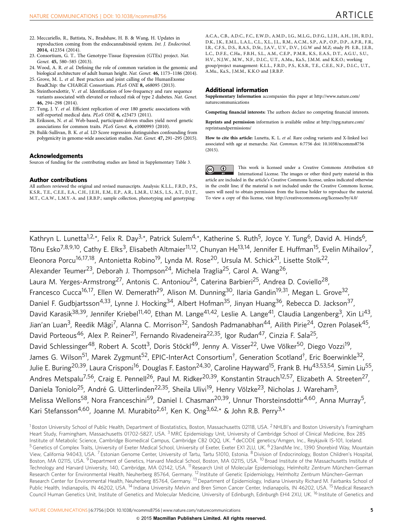- <span id="page-4-0"></span>22. Meccariello, R., Battista, N., Bradshaw, H. B. & Wang, H. Updates in reproduction coming from the endocannabinoid system. Int. J. Endocrinol. 2014, 412354 (2014).
- 23. Consortium, G. T.. The Genotype-Tissue Expression (GTEx) project. Nat. Genet. 45, 580–585 (2013).
- 24. Wood, A. R. et al. Defining the role of common variation in the genomic and biological architecture of adult human height. Nat. Genet. 46, 1173–1186 (2014).
- 25. Grove, M. L. et al. Best practices and joint calling of the HumanExome BeadChip: the CHARGE Consortium. PLoS ONE 8, e68095 (2013).
- 26. Steinthorsdottir, V. et al. Identification of low-frequency and rare sequence variants associated with elevated or reduced risk of type 2 diabetes. Nat. Genet. 46, 294–298 (2014).
- 27. Tung, J. Y. et al. Efficient replication of over 180 genetic associations with self-reported medical data. PLoS ONE 6, e23473 (2011).
- 28. Eriksson, N. et al. Web-based, participant-driven studies yield novel genetic associations for common traits. PLoS Genet. 6, e1000993 (2010).
- 29. Bulik-Sullivan, B. K. et al. LD Score regression distinguishes confounding from polygenicity in genome-wide association studies. Nat. Genet. 47, 291–295 (2015).

#### Acknowledgements

Sources of funding for the contributing studies are listed in Supplementary Table 3.

#### Author contributions

All authors reviewed the original and revised manuscripts. Analysis: K.L.L., F.R.D., P.S., K.S.R., T.E., C.E.E., E.A., C.H., J.E.H., E.M., E.P., A.R., L.M.R., U.M.S., L.S., A.T., D.J.T., M.T., C.A.W., L.M.Y.-A. and J.R.B.P.; sample collection, phenotyping and genotyping:

A.C.A., C.B., A.D.C., F.C., E.W.D., A.M.D., I.G., M.L.G., D.F.G., L.J.H., A.H., J.H., R.D.J., D.K., J.K., E.M.L., L.A.L., C.L., X.L., J.L., R.M., A.C.M., S.P., A.P., O.P., D.P., A.P.R., F.R., I.R., C.F.S., D.S., R.A.S., D.St., J.A.V., U.V., D.V., J.G.W and M.Z; study PI: E.B., J.E.B., L.C., D.F.E., C.Ha., F.B.H., S.L., A.M., C.E.P., P.M.R., K.S., E.A.S., D.T., A.G.U., S.U., H.V., N.J.W., M.W., N.F., D.I.C., U.T., A.Mu., Ka.S., J.M.M. and K.K.O.; working group/project management: K.L.L., F.R.D., P.S., K.S.R., T.E., C.E.E., N.F., D.I.C., U.T., A.Mu., Ka.S., J.M.M., K.K.O and J.R.B.P.

#### Additional information

Supplementary Information accompanies this paper at [http://www.nature.com/](http://www.nature.com/naturecommunications) [naturecommunications](http://www.nature.com/naturecommunications)

Competing financial interests: The authors declare no competing financial interests.

Reprints and permission information is available online at [http://npg.nature.com/](http://npg.nature.com/reprintsandpermissions/) [reprintsandpermissions/](http://npg.nature.com/reprintsandpermissions/)

How to cite this article: Lunetta, K. L. et al. Rare coding variants and X-linked loci associated with age at menarche. Nat. Commun. 6:7756 doi: 10.1038/ncomms8756 (2015).

This work is licensed under a Creative Commons Attribution 4.0  $\odot$  $(cc)$ International License. The images or other third party material in this article are included in the article's Creative Commons license, unless indicated otherwise in the credit line; if the material is not included under the Creative Commons license, users will need to obtain permission from the license holder to reproduce the material. To view a copy of this license, visit<http://creativecommons.org/licenses/by/4.0/>

Kathryn L. Lunetta<sup>1,2,\*</sup>, Felix R. Day<sup>3,\*</sup>, Patrick Sulem<sup>4,\*</sup>, Katherine S. Ruth<sup>5</sup>, Joyce Y. Tung<sup>6</sup>, David A. Hinds<sup>6</sup>, Tõnu Esko<sup>7,8,9,10</sup>, Cathy E. Elks<sup>3</sup>, Elisabeth Altmaier<sup>11,12</sup>, Chunyan He<sup>13,14</sup>, Jennifer E. Huffman<sup>15</sup>, Evelin Mihailov<sup>7</sup>, Eleonora Porcu<sup>16,17,18</sup>, Antonietta Robino<sup>19</sup>, Lynda M. Rose<sup>20</sup>, Ursula M. Schick<sup>21</sup>, Lisette Stolk<sup>22</sup>, Alexander Teumer<sup>23</sup>, Deborah J. Thompson<sup>24</sup>, Michela Traglia<sup>25</sup>, Carol A. Wang<sup>26</sup>, Laura M. Yerges-Armstrong<sup>27</sup>, Antonis C. Antoniou<sup>24</sup>, Caterina Barbieri<sup>25</sup>, Andrea D. Coviello<sup>28</sup>, Francesco Cucca<sup>16,17</sup>, Ellen W. Demerath<sup>29</sup>, Alison M. Dunning<sup>30</sup>, Ilaria Gandin<sup>19,31</sup>, Megan L. Grove<sup>32</sup>, Daniel F. Gudbjartsson<sup>4,33</sup>, Lynne J. Hocking<sup>34</sup>, Albert Hofman<sup>35</sup>, Jinyan Huang<sup>36</sup>, Rebecca D. Jackson<sup>37</sup>, David Karasik<sup>38,39</sup>, Jennifer Kriebel<sup>11,40</sup>, Ethan M. Lange<sup>41,42</sup>, Leslie A. Lange<sup>41</sup>, Claudia Langenberg<sup>3</sup>, Xin Li<sup>43</sup>, Jian'an Luan<sup>3</sup>, Reedik Mägi<sup>7</sup>, Alanna C. Morrison<sup>32</sup>, Sandosh Padmanabhan<sup>44</sup>, Ailith Pirie<sup>24</sup>, Ozren Polasek<sup>45</sup>, David Porteous<sup>46</sup>, Alex P. Reiner<sup>21</sup>, Fernando Rivadeneira<sup>22,35</sup>, Igor Rudan<sup>47</sup>, Cinzia F. Sala<sup>25</sup>, David Schlessinger<sup>48</sup>, Robert A. Scott<sup>3</sup>, Doris Stöckl<sup>49</sup>, Jenny A. Visser<sup>22</sup>, Uwe Völker<sup>50</sup>, Diego Vozzi<sup>19</sup>, James G. Wilson<sup>51</sup>, Marek Zygmunt<sup>52</sup>, EPIC-InterAct Consortium<sup>†</sup>, Generation Scotland<sup>†</sup>, Eric Boerwinkle<sup>32</sup>, Julie E. Buring<sup>20,39</sup>, Laura Crisponi<sup>16</sup>, Douglas F. Easton<sup>24,30</sup>, Caroline Hayward<sup>15</sup>, Frank B. Hu<sup>43,53,54</sup>, Simin Liu<sup>55</sup>, Andres Metspalu<sup>7,56</sup>, Craig E. Pennell<sup>26</sup>, Paul M. Ridker<sup>20,39</sup>, Konstantin Strauch<sup>12,57</sup>, Elizabeth A. Streeten<sup>27</sup>, Daniela Toniolo<sup>25</sup>, André G. Uitterlinden<sup>22,35</sup>, Sheila Ulivi<sup>19</sup>, Henry Völzke<sup>23</sup>, Nicholas J. Wareham<sup>3</sup>, Melissa Wellons<sup>58</sup>, Nora Franceschini<sup>59</sup>, Daniel I. Chasman<sup>20,39</sup>, Unnur Thorsteinsdottir<sup>4,60</sup>, Anna Murray<sup>5</sup>, Kari Stefansson<sup>4,60</sup>, Joanne M. Murabito<sup>2,61</sup>, Ken K. Ong<sup>3,62,\*</sup> & John R.B. Perry<sup>3,\*</sup>

<sup>1</sup> Boston University School of Public Health, Department of Biostatistics, Boston, Massachusetts 02118, USA. <sup>2</sup> NHLBI's and Boston University's Framingham Heart Study, Framingham, Massachusetts 01702-5827, USA. <sup>3</sup> MRC Epidemiology Unit, University of Cambridge School of Clinical Medicine, Box 285 Institute of Metabolic Science, Cambridge Biomedical Campus, Cambridge CB2 0QQ, UK. <sup>4</sup> deCODE genetics/Amgen, Inc., Reykjavik IS-101, Iceland. <sup>5</sup> Genetics of Complex Traits, University of Exeter Medical School, University of Exeter, Exeter EX1 2LU, UK. <sup>6</sup> 23andMe Inc., 1390 Shorebird Way, Mountain View, California 94043, USA. <sup>7</sup> Estonian Genome Center, University of Tartu, Tartu 51010, Estonia. <sup>8</sup> Division of Endocrinology, Boston Children's Hospital, Boston, MA 02115, USA. <sup>9</sup> Department of Genetics, Harvard Medical School, Boston, MA 02115, USA. <sup>10</sup> Broad Institute of the Massachusetts Institute of Technology and Harvard University, 140, Cambridge, MA 02142, USA. <sup>11</sup> Research Unit of Molecular Epidemiology, Helmholtz Zentrum München-German Research Center for Environmental Health, Neuherberg 85764, Germany. <sup>12</sup> Institute of Genetic Epidemiology, Helmholtz Zentrum München-German Research Center for Environmental Health, Neuherberg 85764, Germany. <sup>13</sup> Department of Epidemiology, Indiana University Richard M. Fairbanks School of Public Health, Indianapolis, IN 46202, USA. <sup>14</sup> Indiana University Melvin and Bren Simon Cancer Center, Indianapolis, IN 46202, USA. <sup>15</sup> Medical Research Council Human Genetics Unit, Institute of Genetics and Molecular Medicine, University of Edinburgh, Edinburgh EH4 2XU, UK. <sup>16</sup> Institute of Genetics and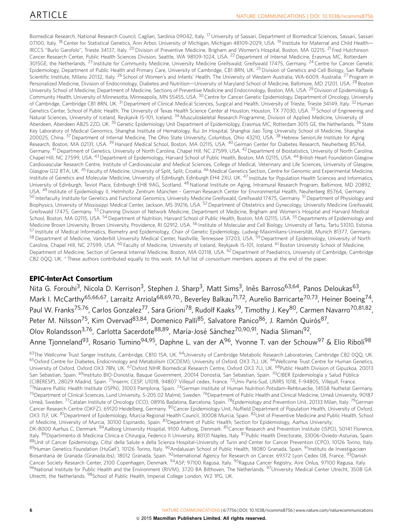Biomedical Research, National Research Council, Cagliari, Sardinia 09042, Italy. <sup>17</sup> University of Sassari, Department of Biomedical Sciences, Sassari, Sassari 07100, Italy. <sup>18</sup> Center for Statistical Genetics, Ann Arbor, University of Michigan, Michigan 48109-2029, USA. <sup>19</sup> Institute for Maternal and Child Health— IRCCS "Burlo Garofolo", Trieste 34137, Italy. <sup>20</sup> Division of Preventive Medicine, Brigham and Women's Hospital, Boston, MA 02215. <sup>21</sup> Fred Hutchinson Cancer Research Center, Public Health Sciences Division, Seattle, WA 98109-1024, USA. <sup>22</sup> Department of Internal Medicine, Erasmus MC, Rotterdam 3015GE, the Netherlands. <sup>23</sup> Institute for Community Medicine, University Medicine Greifswald, Greifswald 17475, Germany. <sup>24</sup> Centre for Cancer Genetic Epidemiology, Department of Public Health and Primary Care, University of Cambridge, CB1 8RN, UK. <sup>25</sup> Division of Genetics and Cell Biology, San Raffaele Scientific Institute, Milano 20132, Italy. <sup>26</sup> School of Women's and Infants' Health, The University of Western Australia, WA-6009, Australia. <sup>27</sup> Program in Personalized Medicine, Division of Endocrinology, Diabetes and Nutrition—University of Maryland School of Medicine, Baltimore, MD 21201, USA. <sup>28</sup> Boston University School of Medicine, Department of Medicine, Sections of Preventive Medicine and Endocrinology, Boston, MA, USA. <sup>29</sup> Division of Epidemiology & Community Health, University of Minnesotta, Minneapolis, MN 55455, USA. <sup>30</sup> Centre for Cancer Genetic Epidemiology, Department of Oncology, University of Cambridge, Cambridge CB1 8RN, UK.<sup>31</sup> Department of Clinical Medical Sciences, Surgical and Health, University of Trieste, Trieste 34149, Italy. <sup>32</sup> Human Genetics Center, School of Public Health, The University of Texas Health Science Center at Houston, Houston, TX 77030, USA. <sup>33</sup> School of Engineering and Natural Sciences, University of Iceland, Reykjavik IS-101, Iceland. <sup>34</sup> Musculoskeletal Research Programme, Division of Applied Medicine, University of Aberdeen, Aberdeen AB25 2ZD, UK.<sup>35</sup> Genetic Epidemiology Unit Department of Epidemiology, Erasmus MC, Rotterdam 3015 GE, the Netherlands. <sup>36</sup> State Key Laboratory of Medical Genomics, Shanghai Institute of Hematology, Rui Jin Hospital, Shanghai Jiao Tong University School of Medicine, Shanghai 200025, China. 37Department of Internal Medicine, The Ohio State University, Columbus, Ohio 43210, USA. 38Hebrew SeniorLife Institute for Aging Research, Boston, MA 02131, USA. 39Harvard Medical School, Boston, MA 02115, USA. 40German Center for Diabetes Research, Neuherberg 85764, Germany. <sup>41</sup> Department of Genetics, University of North Carolina, Chapel Hill, NC 27599, USA. <sup>42</sup> Department of Biostatistics, University of North Carolina, Chapel Hill, NC 27599, USA. <sup>43</sup> Department of Epidemiology, Harvard School of Public Health, Boston, MA 02115, USA. <sup>44</sup> British Heart Foundation Glasgow Cardiovascular Research Centre, Institute of Cardiovascular and Medical Sciences, College of Medical, Veterinary and Life Sciences, University of Glasgow, Glasgow G12 8TA, UK. <sup>45</sup> Faculty of Medicine, University of Split, Split, Croatia. <sup>46</sup> Medical Genetics Section, Centre for Genomic and Experimental Medicine, Institute of Genetics and Molecular Medicine, University of Edinburgh, Edinburgh EH4 2XU, UK.<sup>47</sup> Institute for Population Health Sciences and Informatics, University of Edinburgh, Teviot Place, Edinburgh EH8 9AG, Scotland. <sup>48</sup> National Institute on Aging, Intramural Research Program, Baltimore, MD 20892, USA. <sup>49</sup> Institute of Epidemiology II, Helmholtz Zentrum München - German Research Center for Environmental Health, Neuherberg 85764, Germany. 50 Interfaculty Institute for Genetics and Functional Genomics, University Medicine Greifswald, Greifswald 17475, Germany. <sup>51</sup> Department of Physiology and Biophysics, University of Mississippi Medical Center, Jackson, MS 39216, USA.<sup>52</sup> Department of Obstetrics and Gynecology, University Medicine Greifswald, Greifswald 17475, Germany, <sup>53</sup> Channing Division of Network Medicine, Department of Medicine, Brigham and Women's Hospital and Harvard Medical School, Boston, MA 02115, USA. <sup>54</sup> Department of Nutrition, Harvard School of Public Health, Boston, MA 02115, USA. <sup>55</sup> Departments of Epidemiology and Medicine Brown University, Brown University, Providence, RI 02912, USA. <sup>56</sup> Institute of Molecular and Cell Biology, University of Tartu, Tartu 51010, Estonia. 57 Institute of Medical Informatics, Biometry and Epidemiology, Chair of Genetic Epidemiology, Ludwig-Maximilians-Universität, Munich 81377, Germany. 58 Department of Medicine, Vanderbilt University Medical Center, Nashville, Tennessee 37203, USA. 59 Department of Epidemiology, University of North Carolina, Chapel Hill, NC 27599, USA. <sup>60</sup> Faculty of Medicine, University of Iceland, Reykjavik IS-101, Iceland. <sup>61</sup> Boston University School of Medicine, Department of Medicine, Section of General Internal Medicine, Boston, MA 02118, USA. <sup>62</sup> Department of Paediatrics, University of Cambridge, Cambridge CB2 0QQ, UK. \* These authors contributed equally to this work. ‡A full list of consortium members appears at the end of the paper.

### EPIC-InterAct Consortium

Nita G. Forouhi<sup>3</sup>, Nicola D. Kerrison<sup>3</sup>, Stephen J. Sharp<sup>3</sup>, Matt Sims<sup>3</sup>, Inês Barroso<sup>63,64</sup>, Panos Deloukas<sup>63</sup>, Mark I. McCarthy<sup>65,66,67</sup>, Larraitz Arriola<sup>68,69,70,</sup>, Beverley Balkau<sup>71,72</sup>, Aurelio Barricarte<sup>70,73</sup>, Heiner Boeing<sup>74</sup>, Paul W. Franks<sup>75,76</sup>, Carlos Gonzalez<sup>77</sup>, Sara Grioni<sup>78</sup>, Rudolf Kaaks<sup>79</sup>, Timothy J. Key<sup>80</sup>, Carmen Navarro<sup>70,81,82</sup>, Peter M. Nilsson<sup>75</sup>, Kim Overvad<sup>83,84</sup>, Domenico Palli<sup>85</sup>, Salvatore Panico<sup>86</sup>, J. Ramón Quirós<sup>87</sup>, Olov Rolandsson<sup>3,76</sup>, Carlotta Sacerdote<sup>88,89</sup>, María-José Sánchez<sup>70,90,91</sup>, Nadia Slimani<sup>92</sup>, Anne Tjonneland<sup>93</sup>, Rosario Tumino<sup>94,95</sup>, Daphne L. van der A<sup>96</sup>, Yvonne T. van der Schouw<sup>97</sup> & Elio Riboli<sup>98</sup>

<sup>63</sup>The Wellcome Trust Sanger Institute, Cambridge, CB10 1SA, UK. <sup>64</sup>University of Cambridge Metabolic Research Laboratories, Cambridge CB2 000, UK. <sup>65</sup>Oxford Centre for Diabetes, Endocrinology and Metabolism (OCDEM), University of Oxford, OX3 7LJ, UK. <sup>66</sup>Wellcome Trust Centre for Human Genetics, University of Oxford, Oxford OX3 7BN, UK. <sup>67</sup>Oxford NIHR Biomedical Research Centre, Oxford OX3 7LJ, UK. <sup>68</sup>Public Health Division of Gipuzkoa, 20013 San Sebastian, Spain. <sup>69</sup>Instituto BIO-Donostia, Basque Government, 20014 Donostia, San Sebastian, Spain. <sup>70</sup>CIBER Epidemiología y Salud Pública (CIBERESP), 28029 Madrid, Spain. 71Inserm, CESP, U1018, 94807 Villejuif cedex, France. 72Univ Paris-Sud, UMRS 1018, F-94805, Villejuif, France. <sup>73</sup>Navarre Public Health Institute (ISPN), 31003 Pamplona, Spain. <sup>74</sup>German Institute of Human Nutrition Potsdam-Rehbruecke, 14558 Nuthetal Germany. <sup>75</sup>Department of Clinical Sciences, Lund University, S-205 02 Malmö, Sweden. <sup>76</sup>Department of Public Health and Clinical Medicine, Umeå University, 90187 Umeå, Sweden. <sup>77</sup>Catalan Institute of Oncology (ICO), 08916 Badalona, Barcelona, Spain. <sup>78</sup>Epidemiology and Prevention Unit, 20133 Milan, Italy. <sup>79</sup>German Cancer Research Centre (DKFZ), 69120 Heidelberg, Germany. 80Cancer Epidemiology Unit, Nuffield Department of Population Health, University of Oxford, OX3 7LF, UK. <sup>81</sup>Department of Epidemiology, Murcia Regional Health Council, 30008 Murcia, Spain. 8<sup>2</sup>Unit of Preventive Medicine and Public Health, School of Medicine, University of Murcia, 30100 Espinardo, Spain. 83Department of Public Health, Section for Epidemiology, Aarhus University, DK-8000 Aarhus C, Denmark. <sup>84</sup>Aalborg University Hospital, 9100 Aalborg, Denmark. <sup>85</sup>Cancer Research and Prevention Institute (ISPO), 50141 Florence, Italy. <sup>86</sup>Dipartimento di Medicina Clinica e Chirurgia, Federico II University, 80131 Naples, Italy. <sup>87</sup>Public Health Directorate, 33006-Oviedo-Asturias, Spain. 88Unit of Cancer Epidemiology, Citta' della Salute e della Scienza Hospital-University of Turin and Center for Cancer Prevention (CPO), 10126 Torino, Italy. 89Human Genetics Foundation (HuGeF), 10126 Torino, Italy. <sup>90</sup>Andalusian School of Public Health, 18080 Granada, Spain. <sup>91</sup>Instituto de Investigaciœn Biosanitaria de Granada (Granada.ibs), 18012 Granada, Spain. <sup>92</sup>International Agency for Research on Cancer, 69372 Lyon Cedex 08, France. <sup>93</sup>Danish Cancer Society Research Center, 2100 Copenhagen, Denmark. 94ASP, 97100 Ragusa, Italy. 95Ragusa Cancer Registry, Aire Onlus, 97100 Ragusa, Italy. 96National Institute for Public Health and the Environment (RIVM), 3720 BA Bilthoven, The Netherlands, <sup>97</sup>University Medical Center Utrecht, 3508 GA Utrecht, the Netherlands. <sup>98</sup>School of Public Health, Imperial College London, W2 1PG, UK.